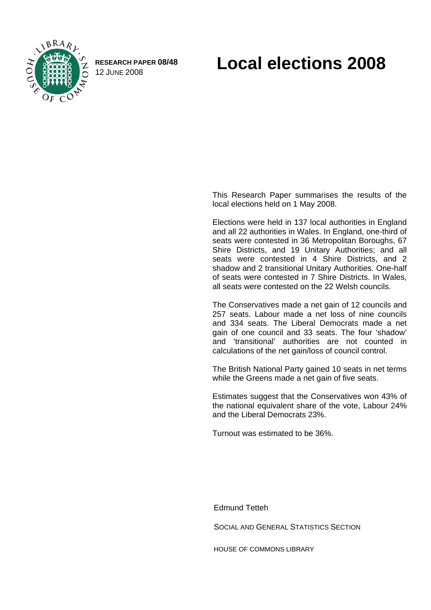

**RESEARCH PAPER 08/48** 

# RESEARCH PAPER 08/48 **Local elections 2008**

This Research Paper summarises the results of the local elections held on 1 May 2008.

Elections were held in 137 local authorities in England and all 22 authorities in Wales. In England, one-third of seats were contested in 36 Metropolitan Boroughs, 67 Shire Districts, and 19 Unitary Authorities; and all seats were contested in 4 Shire Districts, and 2 shadow and 2 transitional Unitary Authorities. One-half of seats were contested in 7 Shire Districts. In Wales, all seats were contested on the 22 Welsh councils.

The Conservatives made a net gain of 12 councils and 257 seats. Labour made a net loss of nine councils and 334 seats. The Liberal Democrats made a net gain of one council and 33 seats. The four 'shadow' and 'transitional' authorities are not counted in calculations of the net gain/loss of council control.

The British National Party gained 10 seats in net terms while the Greens made a net gain of five seats.

Estimates suggest that the Conservatives won 43% of the national equivalent share of the vote, Labour 24% and the Liberal Democrats 23%.

Turnout was estimated to be 36%.

Edmund Tetteh

SOCIAL AND GENERAL STATISTICS SECTION

HOUSE OF COMMONS LIBRARY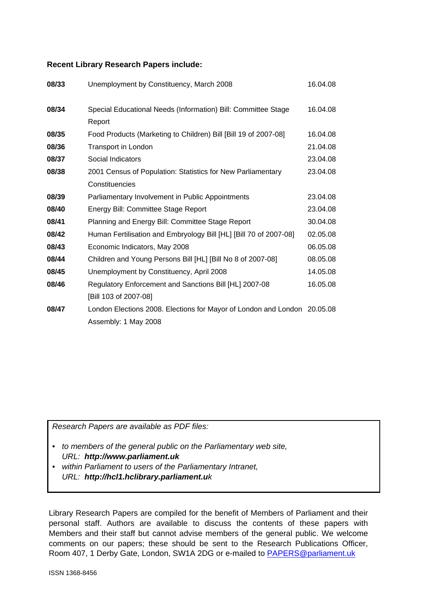#### **Recent Library Research Papers include:**

| 08/33 | Unemployment by Constituency, March 2008                                 | 16.04.08 |
|-------|--------------------------------------------------------------------------|----------|
| 08/34 | Special Educational Needs (Information) Bill: Committee Stage            | 16.04.08 |
|       | Report                                                                   |          |
| 08/35 | Food Products (Marketing to Children) Bill [Bill 19 of 2007-08]          | 16.04.08 |
| 08/36 | Transport in London                                                      | 21.04.08 |
| 08/37 | Social Indicators                                                        | 23.04.08 |
| 08/38 | 2001 Census of Population: Statistics for New Parliamentary              | 23.04.08 |
|       | Constituencies                                                           |          |
| 08/39 | Parliamentary Involvement in Public Appointments                         | 23.04.08 |
| 08/40 | Energy Bill: Committee Stage Report                                      | 23.04.08 |
| 08/41 | Planning and Energy Bill: Committee Stage Report                         | 30.04.08 |
| 08/42 | Human Fertilisation and Embryology Bill [HL] [Bill 70 of 2007-08]        | 02.05.08 |
| 08/43 | Economic Indicators, May 2008                                            | 06.05.08 |
| 08/44 | Children and Young Persons Bill [HL] [Bill No 8 of 2007-08]              | 08.05.08 |
| 08/45 | Unemployment by Constituency, April 2008                                 | 14.05.08 |
| 08/46 | Regulatory Enforcement and Sanctions Bill [HL] 2007-08                   | 16.05.08 |
|       | [Bill 103 of 2007-08]                                                    |          |
| 08/47 | London Elections 2008. Elections for Mayor of London and London 20.05.08 |          |
|       | Assembly: 1 May 2008                                                     |          |

*Research Papers are available as PDF files:* 

- *to members of the general public on the Parliamentary web site, URL: http://www.parliament.uk*
- *within Parliament to users of the Parliamentary Intranet, URL: http://hcl1.hclibrary.parliament.uk*

Library Research Papers are compiled for the benefit of Members of Parliament and their personal staff. Authors are available to discuss the contents of these papers with Members and their staff but cannot advise members of the general public. We welcome comments on our papers; these should be sent to the Research Publications Officer, Room 407, 1 Derby Gate, London, SW1A 2DG or e-mailed to [PAPERS@parliament.uk](mailto:PAPERS@parliament.uk)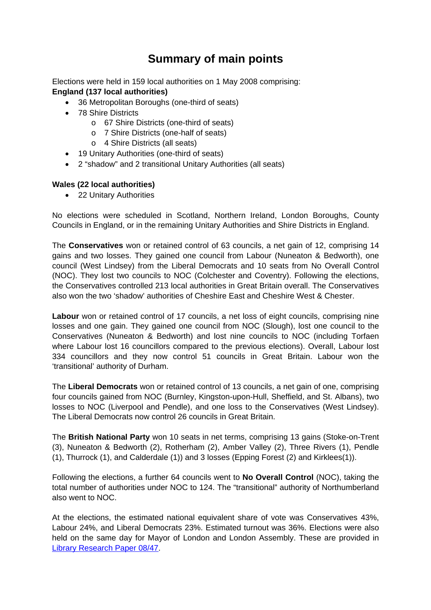# **Summary of main points**

Elections were held in 159 local authorities on 1 May 2008 comprising: **England (137 local authorities)** 

- 36 Metropolitan Boroughs (one-third of seats)
- 78 Shire Districts
	- o 67 Shire Districts (one-third of seats)
	- o 7 Shire Districts (one-half of seats)
	- o 4 Shire Districts (all seats)
- 19 Unitary Authorities (one-third of seats)
- 2 "shadow" and 2 transitional Unitary Authorities (all seats)

### **Wales (22 local authorities)**

• 22 Unitary Authorities

No elections were scheduled in Scotland, Northern Ireland, London Boroughs, County Councils in England, or in the remaining Unitary Authorities and Shire Districts in England.

The **Conservatives** won or retained control of 63 councils, a net gain of 12, comprising 14 gains and two losses. They gained one council from Labour (Nuneaton & Bedworth), one council (West Lindsey) from the Liberal Democrats and 10 seats from No Overall Control (NOC). They lost two councils to NOC (Colchester and Coventry). Following the elections, the Conservatives controlled 213 local authorities in Great Britain overall. The Conservatives also won the two 'shadow' authorities of Cheshire East and Cheshire West & Chester.

**Labour** won or retained control of 17 councils, a net loss of eight councils, comprising nine losses and one gain. They gained one council from NOC (Slough), lost one council to the Conservatives (Nuneaton & Bedworth) and lost nine councils to NOC (including Torfaen where Labour lost 16 councillors compared to the previous elections). Overall, Labour lost 334 councillors and they now control 51 councils in Great Britain. Labour won the 'transitional' authority of Durham.

The **Liberal Democrats** won or retained control of 13 councils, a net gain of one, comprising four councils gained from NOC (Burnley, Kingston-upon-Hull, Sheffield, and St. Albans), two losses to NOC (Liverpool and Pendle), and one loss to the Conservatives (West Lindsey). The Liberal Democrats now control 26 councils in Great Britain.

The **British National Party** won 10 seats in net terms, comprising 13 gains (Stoke-on-Trent (3), Nuneaton & Bedworth (2), Rotherham (2), Amber Valley (2), Three Rivers (1), Pendle (1), Thurrock (1), and Calderdale (1)) and 3 losses (Epping Forest (2) and Kirklees(1)).

Following the elections, a further 64 councils went to **No Overall Control** (NOC), taking the total number of authorities under NOC to 124. The "transitional" authority of Northumberland also went to NOC.

At the elections, the estimated national equivalent share of vote was Conservatives 43%, Labour 24%, and Liberal Democrats 23%. Estimated turnout was 36%. Elections were also held on the same day for Mayor of London and London Assembly. These are provided in [Library Research Paper 08/47.](http://www.parliament.uk/commons/lib/research/rp2008/rp08-047.pdf)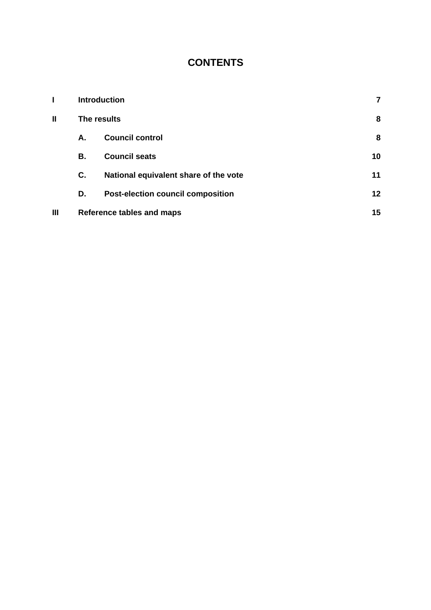# **CONTENTS**

|              |             | <b>Introduction</b>                      | 7  |
|--------------|-------------|------------------------------------------|----|
| $\mathbf{I}$ | The results |                                          | 8  |
|              | А.          | <b>Council control</b>                   | 8  |
|              | В.          | <b>Council seats</b>                     | 10 |
|              | C.          | National equivalent share of the vote    | 11 |
|              | D.          | <b>Post-election council composition</b> | 12 |
| Ш            |             | Reference tables and maps                | 15 |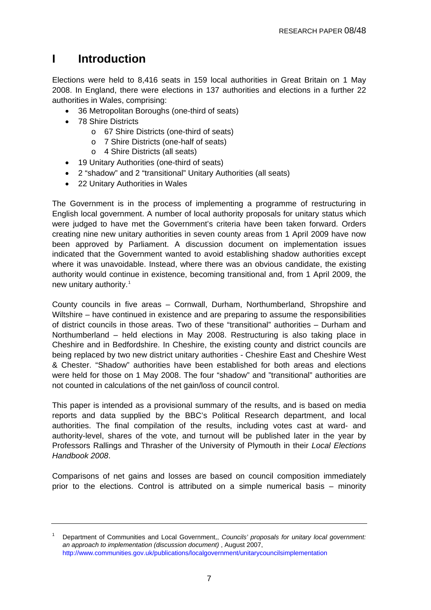# <span id="page-6-0"></span>**I Introduction**

Elections were held to 8,416 seats in 159 local authorities in Great Britain on 1 May 2008. In England, there were elections in 137 authorities and elections in a further 22 authorities in Wales, comprising:

- 36 Metropolitan Boroughs (one-third of seats)
- 78 Shire Districts
	- o 67 Shire Districts (one-third of seats)
	- o 7 Shire Districts (one-half of seats)
	- o 4 Shire Districts (all seats)
- 19 Unitary Authorities (one-third of seats)
- 2 "shadow" and 2 "transitional" Unitary Authorities (all seats)
- 22 Unitary Authorities in Wales

The Government is in the process of implementing a programme of restructuring in English local government. A number of local authority proposals for unitary status which were judged to have met the Government's criteria have been taken forward. Orders creating nine new unitary authorities in seven county areas from 1 April 2009 have now been approved by Parliament. A discussion document on implementation issues indicated that the Government wanted to avoid establishing shadow authorities except where it was unavoidable. Instead, where there was an obvious candidate, the existing authority would continue in existence, becoming transitional and, from 1 April 2009, the new unitary authority.<sup>[1](#page-6-0)</sup>

County councils in five areas – Cornwall, Durham, Northumberland, Shropshire and Wiltshire – have continued in existence and are preparing to assume the responsibilities of district councils in those areas. Two of these "transitional" authorities – Durham and Northumberland – held elections in May 2008. Restructuring is also taking place in Cheshire and in Bedfordshire. In Cheshire, the existing county and district councils are being replaced by two new district unitary authorities - Cheshire East and Cheshire West & Chester. "Shadow" authorities have been established for both areas and elections were held for those on 1 May 2008. The four "shadow" and "transitional" authorities are not counted in calculations of the net gain/loss of council control.

This paper is intended as a provisional summary of the results, and is based on media reports and data supplied by the BBC's Political Research department, and local authorities. The final compilation of the results, including votes cast at ward- and authority-level, shares of the vote, and turnout will be published later in the year by Professors Rallings and Thrasher of the University of Plymouth in their *Local Elections Handbook 2008*.

Comparisons of net gains and losses are based on council composition immediately prior to the elections. Control is attributed on a simple numerical basis – minority

<sup>1</sup> Department of Communities and Local Government,, *Councils' proposals for unitary local government: an approach to implementation (discussion document)* , August 2007, <http://www.communities.gov.uk/publications/localgovernment/unitarycouncilsimplementation>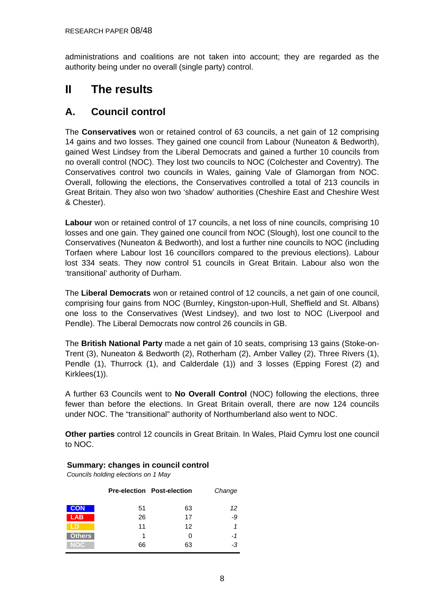<span id="page-7-0"></span>administrations and coalitions are not taken into account; they are regarded as the authority being under no overall (single party) control.

# **II The results**

### **A. Council control**

The **Conservatives** won or retained control of 63 councils, a net gain of 12 comprising 14 gains and two losses. They gained one council from Labour (Nuneaton & Bedworth), gained West Lindsey from the Liberal Democrats and gained a further 10 councils from no overall control (NOC). They lost two councils to NOC (Colchester and Coventry). The Conservatives control two councils in Wales, gaining Vale of Glamorgan from NOC. Overall, following the elections, the Conservatives controlled a total of 213 councils in Great Britain. They also won two 'shadow' authorities (Cheshire East and Cheshire West & Chester).

**Labour** won or retained control of 17 councils, a net loss of nine councils, comprising 10 losses and one gain. They gained one council from NOC (Slough), lost one council to the Conservatives (Nuneaton & Bedworth), and lost a further nine councils to NOC (including Torfaen where Labour lost 16 councillors compared to the previous elections). Labour lost 334 seats. They now control 51 councils in Great Britain. Labour also won the 'transitional' authority of Durham.

The **Liberal Democrats** won or retained control of 12 councils, a net gain of one council, comprising four gains from NOC (Burnley, Kingston-upon-Hull, Sheffield and St. Albans) one loss to the Conservatives (West Lindsey), and two lost to NOC (Liverpool and Pendle). The Liberal Democrats now control 26 councils in GB.

The **British National Party** made a net gain of 10 seats, comprising 13 gains (Stoke-on-Trent (3), Nuneaton & Bedworth (2), Rotherham (2), Amber Valley (2), Three Rivers (1), Pendle (1), Thurrock (1), and Calderdale (1)) and 3 losses (Epping Forest (2) and Kirklees(1)).

A further 63 Councils went to **No Overall Control** (NOC) following the elections, three fewer than before the elections. In Great Britain overall, there are now 124 councils under NOC. The "transitional" authority of Northumberland also went to NOC.

**Other parties** control 12 councils in Great Britain. In Wales, Plaid Cymru lost one council to NOC.

### **Summary: changes in council control**

*Councils holding elections on 1 May*

|                     |    | <b>Pre-election Post-election</b> | Change |
|---------------------|----|-----------------------------------|--------|
| <b>CON</b>          | 51 | 63                                | 12     |
| <b>LAB</b>          | 26 | 17                                | -9     |
|                     | 11 | 12                                | 1      |
| Others <sup>1</sup> | 1  | 0                                 | -1     |
| NOC                 | 66 | 63                                | -3     |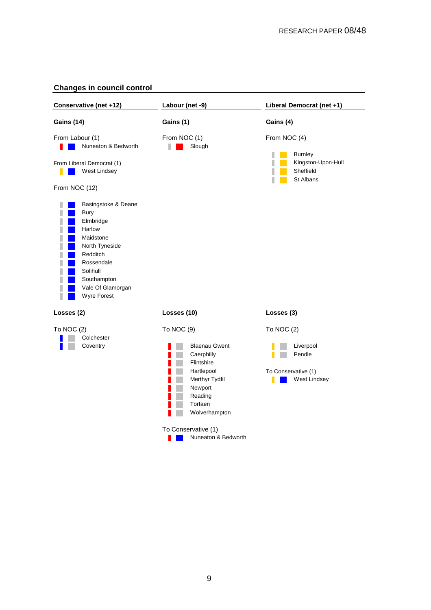### **Changes in council control**

| Conservative (net +12)                                                                                                                                                            | Labour (net -9)                                                                                                                                                                                | Liberal Democrat (net +1)                                                           |
|-----------------------------------------------------------------------------------------------------------------------------------------------------------------------------------|------------------------------------------------------------------------------------------------------------------------------------------------------------------------------------------------|-------------------------------------------------------------------------------------|
| <b>Gains (14)</b>                                                                                                                                                                 | Gains (1)                                                                                                                                                                                      | Gains (4)                                                                           |
| From Labour (1)<br>Nuneaton & Bedworth<br>From Liberal Democrat (1)<br>West Lindsey<br>From NOC (12)                                                                              | From NOC (1)<br>Slough                                                                                                                                                                         | From NOC (4)<br><b>Burnley</b><br>Kingston-Upon-Hull<br>Sheffield<br>St Albans<br>ı |
| Basingstoke & Deane<br><b>Bury</b><br>Elmbridge<br>Harlow<br>Maidstone<br>North Tyneside<br>Redditch<br>Rossendale<br>Solihull<br>Southampton<br>Vale Of Glamorgan<br>Wyre Forest |                                                                                                                                                                                                |                                                                                     |
| Losses (2)                                                                                                                                                                        | Losses (10)                                                                                                                                                                                    | Losses (3)                                                                          |
| To NOC (2)<br>Colchester<br>Coventry                                                                                                                                              | To NOC (9)<br><b>Blaenau Gwent</b><br>Caerphilly<br>Flintshire<br>Hartlepool<br>Merthyr Tydfil<br>Newport<br>Reading<br>Torfaen<br>Wolverhampton<br>To Conservative (1)<br>Nuneaton & Bedworth | To NOC $(2)$<br>Liverpool<br>Pendle<br>To Conservative (1)<br>West Lindsey          |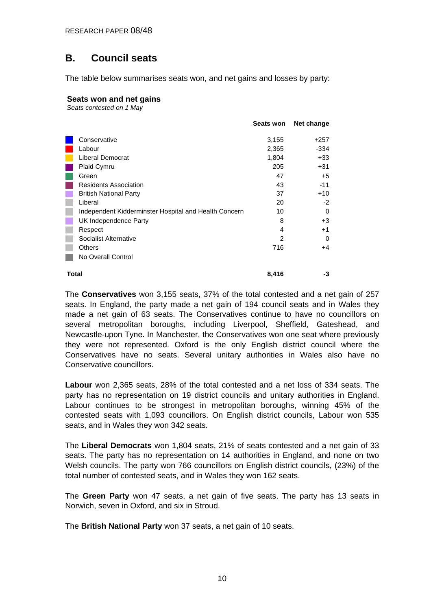## <span id="page-9-0"></span>**B. Council seats**

The table below summarises seats won, and net gains and losses by party:

### **Seats won and net gains**

*Seats contested on 1 May*

|       |                                                       | Seats won      | Net change |
|-------|-------------------------------------------------------|----------------|------------|
|       | Conservative                                          | 3,155          | +257       |
|       | Labour                                                | 2,365          | -334       |
|       | Liberal Democrat                                      | 1,804          | $+33$      |
|       | Plaid Cymru                                           | 205            | $+31$      |
|       | Green                                                 | 47             | $+5$       |
|       | <b>Residents Association</b>                          | 43             | $-11$      |
|       | <b>British National Party</b>                         | 37             | $+10$      |
|       | Liberal                                               | 20             | $-2$       |
|       | Independent Kidderminster Hospital and Health Concern | 10             | 0          |
|       | UK Independence Party                                 | 8              | $+3$       |
|       | Respect                                               | 4              | $+1$       |
|       | Socialist Alternative                                 | $\mathfrak{p}$ | 0          |
|       | Others                                                | 716            | +4         |
|       | No Overall Control                                    |                |            |
| Total |                                                       | 8,416          | -3         |

The **Conservatives** won 3,155 seats, 37% of the total contested and a net gain of 257 seats. In England, the party made a net gain of 194 council seats and in Wales they made a net gain of 63 seats. The Conservatives continue to have no councillors on several metropolitan boroughs, including Liverpool, Sheffield, Gateshead, and Newcastle-upon Tyne. In Manchester, the Conservatives won one seat where previously they were not represented. Oxford is the only English district council where the Conservatives have no seats. Several unitary authorities in Wales also have no Conservative councillors.

**Labour** won 2,365 seats, 28% of the total contested and a net loss of 334 seats. The party has no representation on 19 district councils and unitary authorities in England. Labour continues to be strongest in metropolitan boroughs, winning 45% of the contested seats with 1,093 councillors. On English district councils, Labour won 535 seats, and in Wales they won 342 seats.

The **Liberal Democrats** won 1,804 seats, 21% of seats contested and a net gain of 33 seats. The party has no representation on 14 authorities in England, and none on two Welsh councils. The party won 766 councillors on English district councils, (23%) of the total number of contested seats, and in Wales they won 162 seats.

The **Green Party** won 47 seats, a net gain of five seats. The party has 13 seats in Norwich, seven in Oxford, and six in Stroud.

The **British National Party** won 37 seats, a net gain of 10 seats.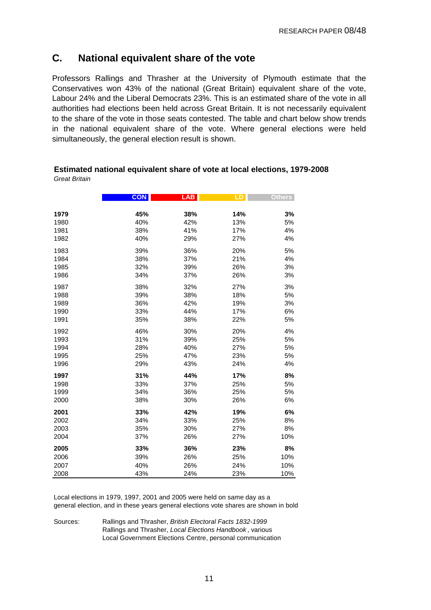### <span id="page-10-0"></span>**C. National equivalent share of the vote**

Professors Rallings and Thrasher at the University of Plymouth estimate that the Conservatives won 43% of the national (Great Britain) equivalent share of the vote, Labour 24% and the Liberal Democrats 23%. This is an estimated share of the vote in all authorities had elections been held across Great Britain. It is not necessarily equivalent to the share of the vote in those seats contested. The table and chart below show trends in the national equivalent share of the vote. Where general elections were held simultaneously, the general election result is shown.

|      | <b>CON</b> | <b>LAB</b> | LD  | <b>Others</b> |
|------|------------|------------|-----|---------------|
| 1979 | 45%        | 38%        | 14% | 3%            |
| 1980 | 40%        | 42%        | 13% | 5%            |
| 1981 | 38%        | 41%        | 17% | 4%            |
| 1982 | 40%        | 29%        | 27% | 4%            |
| 1983 | 39%        | 36%        | 20% | 5%            |
| 1984 | 38%        | 37%        | 21% | 4%            |
| 1985 | 32%        | 39%        | 26% | 3%            |
| 1986 | 34%        | 37%        | 26% | 3%            |
| 1987 | 38%        | 32%        | 27% | 3%            |
| 1988 | 39%        | 38%        | 18% | 5%            |
| 1989 | 36%        | 42%        | 19% | 3%            |
| 1990 | 33%        | 44%        | 17% | 6%            |
| 1991 | 35%        | 38%        | 22% | 5%            |
| 1992 | 46%        | 30%        | 20% | 4%            |
| 1993 | 31%        | 39%        | 25% | 5%            |
| 1994 | 28%        | 40%        | 27% | 5%            |
| 1995 | 25%        | 47%        | 23% | 5%            |
| 1996 | 29%        | 43%        | 24% | 4%            |
| 1997 | 31%        | 44%        | 17% | 8%            |
| 1998 | 33%        | 37%        | 25% | 5%            |
| 1999 | 34%        | 36%        | 25% | 5%            |
| 2000 | 38%        | 30%        | 26% | 6%            |
| 2001 | 33%        | 42%        | 19% | 6%            |
| 2002 | 34%        | 33%        | 25% | 8%            |
| 2003 | 35%        | 30%        | 27% | 8%            |
| 2004 | 37%        | 26%        | 27% | 10%           |
| 2005 | 33%        | 36%        | 23% | 8%            |
| 2006 | 39%        | 26%        | 25% | 10%           |
| 2007 | 40%        | 26%        | 24% | 10%           |
| 2008 | 43%        | 24%        | 23% | 10%           |

#### **Estimated national equivalent share of vote at local elections, 1979-2008** *Great Britain*

Local elections in 1979, 1997, 2001 and 2005 were held on same day as a general election, and in these years general elections vote shares are shown in bold

Sources: Rallings and Thrasher, *British Electoral Facts 1832-1999* Rallings and Thrasher, *Local Elections Handbook* , various Local Government Elections Centre, personal communication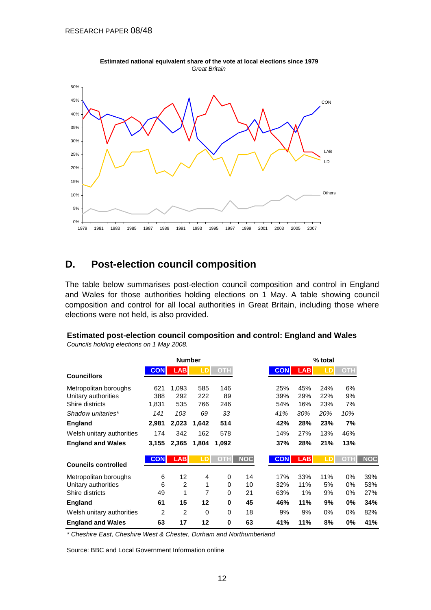<span id="page-11-0"></span>

**Estimated national equivalent share of the vote at local elections since 1979** *Great Britain*

### **D. Post-election council composition**

The table below summarises post-election council composition and control in England and Wales for those authorities holding elections on 1 May. A table showing council composition and control for all local authorities in Great Britain, including those where elections were not held, is also provided.

|                            |            | <b>Number</b>  |          |            |            |            |            | % total |            |            |
|----------------------------|------------|----------------|----------|------------|------------|------------|------------|---------|------------|------------|
| <b>Councillors</b>         | <b>CON</b> | <b>LAB</b>     | LD       | <b>OTH</b> |            | <b>CON</b> | <b>LAB</b> |         | <b>OTH</b> |            |
| Metropolitan boroughs      | 621        | 1,093          | 585      | 146        |            | 25%        | 45%        | 24%     | 6%         |            |
| Unitary authorities        | 388        | 292            | 222      | 89         |            | 39%        | 29%        | 22%     | 9%         |            |
| Shire districts            | 1,831      | 535            | 766      | 246        |            | 54%        | 16%        | 23%     | 7%         |            |
| Shadow unitaries*          | 141        | 103            | 69       | 33         |            | 41%        | 30%        | 20%     | 10%        |            |
| England                    | 2,981      | 2,023          | 1,642    | 514        |            | 42%        | 28%        | 23%     | 7%         |            |
| Welsh unitary authorities  | 174        | 342            | 162      | 578        |            | 14%        | 27%        | 13%     | 46%        |            |
| <b>England and Wales</b>   | 3,155      | 2,365          | 1,804    | 1,092      |            | 37%        | 28%        | 21%     | 13%        |            |
|                            | <b>CON</b> | <b>LAB</b>     | LD       | OTH        | <b>NOC</b> | <b>CON</b> | <b>LAB</b> |         | ОТН        | <b>NOC</b> |
| <b>Councils controlled</b> |            |                |          |            |            |            |            |         |            |            |
| Metropolitan boroughs      | 6          | 12             | 4        | 0          | 14         | 17%        | 33%        | 11%     | $0\%$      | 39%        |
| Unitary authorities        | 6          | $\overline{2}$ | 1        | 0          | 10         | 32%        | 11%        | 5%      | 0%         | 53%        |
| Shire districts            | 49         | 1              | 7        | 0          | 21         | 63%        | 1%         | 9%      | 0%         | 27%        |
| England                    | 61         | 15             | 12       | 0          | 45         | 46%        | 11%        | 9%      | $0\%$      | 34%        |
| Welsh unitary authorities  | 2          | $\overline{2}$ | $\Omega$ | 0          | 18         | 9%         | 9%         | 0%      | 0%         | 82%        |
| <b>England and Wales</b>   | 63         | 17             | 12       | 0          | 63         | 41%        | 11%        | 8%      | 0%         | 41%        |

**Estimated post-election council composition and control: England and Wales** *Councils holding elections on 1 May 2008.*

*\* Cheshire East, Cheshire West & Chester, Durham and Northumberland*

Source: BBC and Local Government Information online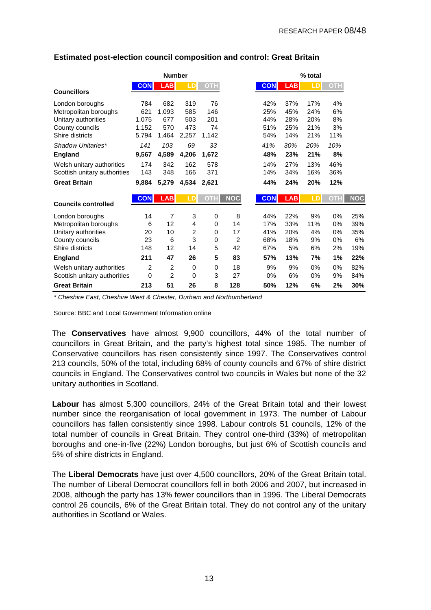|                              |                | <b>Number</b>  |             |            |                |            | % total    |                |            |            |  |
|------------------------------|----------------|----------------|-------------|------------|----------------|------------|------------|----------------|------------|------------|--|
|                              | <b>CON</b>     | <b>LAB</b>     | LD          | <b>OTH</b> |                | <b>CON</b> | <b>LAB</b> | $\overline{1}$ | <b>OTH</b> |            |  |
| <b>Councillors</b>           |                |                |             |            |                |            |            |                |            |            |  |
| London boroughs              | 784            | 682            | 319         | 76         |                | 42%        | 37%        | 17%            | 4%         |            |  |
| Metropolitan boroughs        | 621            | 1,093          | 585         | 146        |                | 25%        | 45%        | 24%            | 6%         |            |  |
| Unitary authorities          | 1,075          | 677            | 503         | 201        |                | 44%        | 28%        | 20%            | 8%         |            |  |
| County councils              | 1,152          | 570            | 473         | 74         |                | 51%        | 25%        | 21%            | 3%         |            |  |
| Shire districts              | 5,794          | 1,464          | 2,257       | 1,142      |                | 54%        | 14%        | 21%            | 11%        |            |  |
| Shadow Unitaries*            | 141            | 103            | 69          | 33         |                | 41%        | 30%        | 20%            | 10%        |            |  |
| England                      | 9,567          | 4,589          | 4,206       | 1,672      |                | 48%        | 23%        | 21%            | 8%         |            |  |
| Welsh unitary authorities    | 174            | 342            | 162         | 578        |                | 14%        | 27%        | 13%            | 46%        |            |  |
| Scottish unitary authorities | 143            | 348            | 166         | 371        |                | 14%        | 34%        | 16%            | 36%        |            |  |
| <b>Great Britain</b>         | 9,884          | 5,279          | 4,534       | 2,621      |                | 44%        | 24%        | 20%            | 12%        |            |  |
|                              | <b>CON</b>     | <b>LAB</b>     | LD          | <b>OTH</b> | <b>NOC</b>     | <b>CON</b> | <b>LAB</b> | LD             | OTH        | <b>NOC</b> |  |
| <b>Councils controlled</b>   |                |                |             |            |                |            |            |                |            |            |  |
| London boroughs              | 14             | $\overline{7}$ | 3           | 0          | 8              | 44%        | 22%        | 9%             | 0%         | 25%        |  |
| Metropolitan boroughs        | 6              | 12             | 4           | 0          | 14             | 17%        | 33%        | 11%            | 0%         | 39%        |  |
| Unitary authorities          | 20             | 10             | 2           | 0          | 17             | 41%        | 20%        | 4%             | 0%         | 35%        |  |
| County councils              | 23             | 6              | 3           | 0          | $\overline{2}$ | 68%        | 18%        | 9%             | 0%         | 6%         |  |
| Shire districts              | 148            | 12             | 14          | 5          | 42             | 67%        | 5%         | 6%             | 2%         | 19%        |  |
| <b>England</b>               | 211            | 47             | 26          | 5          | 83             | 57%        | 13%        | 7%             | 1%         | 22%        |  |
| Welsh unitary authorities    | $\overline{2}$ | $\overline{2}$ | $\mathbf 0$ | 0          | 18             | 9%         | 9%         | 0%             | 0%         | 82%        |  |
| Scottish unitary authorities | $\Omega$       | $\overline{2}$ | $\Omega$    | 3          | 27             | 0%         | 6%         | 0%             | 9%         | 84%        |  |
| <b>Great Britain</b>         | 213            | 51             | 26          | 8          | 128            | 50%        | 12%        | 6%             | 2%         | 30%        |  |

### **Estimated post-election council composition and control: Great Britain**

*\* Cheshire East, Cheshire West & Chester, Durham and Northumberland*

Source: BBC and Local Government Information online

The **Conservatives** have almost 9,900 councillors, 44% of the total number of councillors in Great Britain, and the party's highest total since 1985. The number of Conservative councillors has risen consistently since 1997. The Conservatives control 213 councils, 50% of the total, including 68% of county councils and 67% of shire district councils in England. The Conservatives control two councils in Wales but none of the 32 unitary authorities in Scotland.

**Labour** has almost 5,300 councillors, 24% of the Great Britain total and their lowest number since the reorganisation of local government in 1973. The number of Labour councillors has fallen consistently since 1998. Labour controls 51 councils, 12% of the total number of councils in Great Britain. They control one-third (33%) of metropolitan boroughs and one-in-five (22%) London boroughs, but just 6% of Scottish councils and 5% of shire districts in England.

The **Liberal Democrats** have just over 4,500 councillors, 20% of the Great Britain total. The number of Liberal Democrat councillors fell in both 2006 and 2007, but increased in 2008, although the party has 13% fewer councillors than in 1996. The Liberal Democrats control 26 councils, 6% of the Great Britain total. They do not control any of the unitary authorities in Scotland or Wales.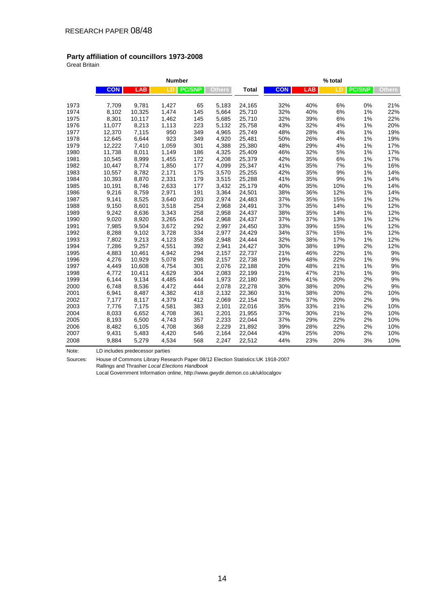### **Party affiliation of councillors 1973-2008**

Great Britain

|      |            |            | <b>Number</b> |               |               | % total |            |            |       |               |               |  |
|------|------------|------------|---------------|---------------|---------------|---------|------------|------------|-------|---------------|---------------|--|
|      | <b>CON</b> | <b>LAB</b> | LD            | <b>PC/SNP</b> | <b>Others</b> | Total   | <b>CON</b> | <b>LAB</b> | LD    | <b>PC/SNP</b> | <b>Others</b> |  |
| 1973 | 7,709      | 9,781      | 1,427         | 65            | 5,183         | 24,165  | 32%        | 40%        | 6%    | 0%            | 21%           |  |
| 1974 | 8,102      | 10,325     | 1,474         | 145           | 5,664         | 25,710  | 32%        | 40%        | 6%    | 1%            | 22%           |  |
| 1975 | 8,301      | 10,117     | 1,462         | 145           | 5,685         | 25,710  | 32%        | 39%        | 6%    | 1%            | 22%           |  |
| 1976 | 11,077     | 8,213      | 1,113         | 223           | 5,132         | 25,758  | 43%        | 32%        | 4%    | 1%            | 20%           |  |
| 1977 | 12,370     | 7,115      | 950           | 349           | 4,965         | 25,749  | 48%        | 28%        | 4%    | 1%            | 19%           |  |
| 1978 | 12,645     | 6,644      | 923           | 349           | 4,920         | 25,481  | 50%        | 26%        | 4%    | 1%            | 19%           |  |
| 1979 | 12,222     | 7,410      | 1,059         | 301           | 4,388         | 25,380  | 48%        | 29%        | 4%    | 1%            | 17%           |  |
| 1980 | 11,738     | 8,011      | 1,149         | 186           | 4,325         | 25,409  | 46%        | 32%        | $5\%$ | 1%            | 17%           |  |
| 1981 | 10,545     | 8,999      | 1,455         | 172           | 4,208         | 25,379  | 42%        | 35%        | $6\%$ | 1%            | 17%           |  |
| 1982 | 10,447     | 8,774      | 1,850         | 177           | 4,099         | 25,347  | 41%        | 35%        | 7%    | 1%            | 16%           |  |
| 1983 | 10,557     | 8,782      | 2,171         | 175           | 3,570         | 25,255  | 42%        | 35%        | 9%    | 1%            | 14%           |  |
| 1984 | 10,393     | 8,870      | 2,331         | 179           | 3,515         | 25,288  | 41%        | 35%        | 9%    | 1%            | 14%           |  |
| 1985 | 10,191     | 8,746      | 2,633         | 177           | 3,432         | 25,179  | 40%        | 35%        | 10%   | 1%            | 14%           |  |
| 1986 | 9,216      | 8,759      | 2,971         | 191           | 3,364         | 24,501  | 38%        | 36%        | 12%   | 1%            | 14%           |  |
| 1987 | 9,141      | 8,525      | 3,640         | 203           | 2,974         | 24,483  | 37%        | 35%        | 15%   | 1%            | 12%           |  |
| 1988 | 9,150      | 8,601      | 3,518         | 254           | 2,968         | 24,491  | 37%        | 35%        | 14%   | 1%            | 12%           |  |
| 1989 | 9,242      | 8,636      | 3,343         | 258           | 2,958         | 24,437  | 38%        | 35%        | 14%   | 1%            | 12%           |  |
| 1990 | 9,020      | 8,920      | 3,265         | 264           | 2,968         | 24,437  | 37%        | 37%        | 13%   | 1%            | 12%           |  |
| 1991 | 7,985      | 9,504      | 3,672         | 292           | 2,997         | 24,450  | 33%        | 39%        | 15%   | 1%            | 12%           |  |
| 1992 | 8,288      | 9,102      | 3,728         | 334           | 2,977         | 24,429  | 34%        | 37%        | 15%   | 1%            | 12%           |  |
| 1993 | 7,802      | 9,213      | 4,123         | 358           | 2,948         | 24,444  | 32%        | 38%        | 17%   | 1%            | 12%           |  |
| 1994 | 7,286      | 9,257      | 4,551         | 392           | 2,941         | 24,427  | 30%        | 38%        | 19%   | 2%            | 12%           |  |
| 1995 | 4,883      | 10,461     | 4,942         | 294           | 2,157         | 22,737  | 21%        | 46%        | 22%   | 1%            | 9%            |  |
| 1996 | 4,276      | 10,929     | 5,078         | 298           | 2,157         | 22,738  | 19%        | 48%        | 22%   | 1%            | 9%            |  |
| 1997 | 4,449      | 10,608     | 4,754         | 301           | 2,076         | 22,188  | 20%        | 48%        | 21%   | 1%            | $9%$          |  |
| 1998 | 4,772      | 10,411     | 4,629         | 304           | 2,083         | 22,199  | 21%        | 47%        | 21%   | 1%            | 9%            |  |
| 1999 | 6,144      | 9,134      | 4,485         | 444           | 1,973         | 22,180  | 28%        | 41%        | 20%   | 2%            | 9%            |  |
| 2000 | 6,748      | 8,536      | 4,472         | 444           | 2,078         | 22,278  | 30%        | 38%        | 20%   | 2%            | 9%            |  |
| 2001 | 6,941      | 8,487      | 4,382         | 418           | 2,132         | 22,360  | 31%        | 38%        | 20%   | 2%            | 10%           |  |
| 2002 | 7,177      | 8,117      | 4,379         | 412           | 2,069         | 22,154  | 32%        | 37%        | 20%   | 2%            | 9%            |  |
| 2003 | 7,776      | 7,175      | 4,581         | 383           | 2,101         | 22,016  | 35%        | 33%        | 21%   | 2%            | 10%           |  |
| 2004 | 8,033      | 6,652      | 4,708         | 361           | 2,201         | 21,955  | 37%        | 30%        | 21%   | 2%            | 10%           |  |
| 2005 | 8,193      | 6,500      | 4,743         | 357           | 2,233         | 22,044  | 37%        | 29%        | 22%   | 2%            | 10%           |  |
| 2006 | 8,482      | 6,105      | 4,708         | 368           | 2,229         | 21,892  | 39%        | 28%        | 22%   | 2%            | 10%           |  |
| 2007 | 9,431      | 5,483      | 4,420         | 546           | 2,164         | 22,044  | 43%        | 25%        | 20%   | 2%            | 10%           |  |
| 2008 | 9,884      | 5,279      | 4,534         | 568           | 2,247         | 22,512  | 44%        | 23%        | 20%   | 3%            | 10%           |  |

Note: LD includes predecessor parties

Sources: House of Commons Library Research Paper 08/12 Election Statistics:UK 1918-2007 Rallings and Thrasher *Local Elections Handbook*

Local Government Information online, http://www.gwydir.demon.co.uk/uklocalgov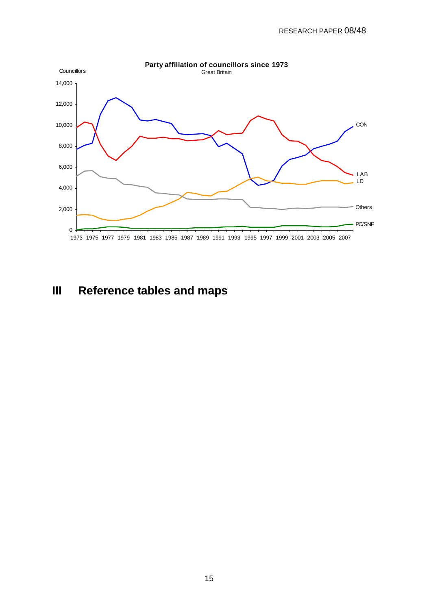<span id="page-14-0"></span>

# **III Reference tables and maps**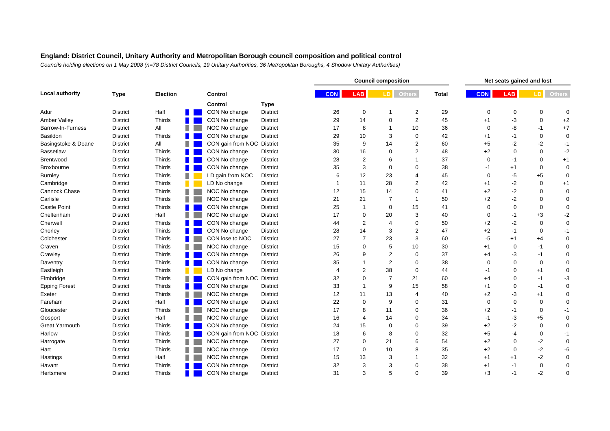|                       |                 |                 |                            |                 |            |                         | <b>Council composition</b> |                |              |             |             | Net seats gained and lost |                  |
|-----------------------|-----------------|-----------------|----------------------------|-----------------|------------|-------------------------|----------------------------|----------------|--------------|-------------|-------------|---------------------------|------------------|
| Local authority       | <b>Type</b>     | <b>Election</b> | Control                    |                 | <b>CON</b> | <b>LAB</b>              | LD.                        | <b>Others</b>  | <b>Total</b> | <b>CON</b>  | <b>LAB</b>  | LD I                      | <b>Others</b>    |
|                       |                 |                 | Control                    | <b>Type</b>     |            |                         |                            |                |              |             |             |                           |                  |
| Adur                  | <b>District</b> | Half            | CON No change              | <b>District</b> | 26         | $\mathbf 0$             |                            | $\overline{2}$ | 29           | $\mathbf 0$ | $\mathbf 0$ | $\mathbf 0$               | $\mathbf 0$      |
| <b>Amber Valley</b>   | <b>District</b> | Thirds          | CON No change              | <b>District</b> | 29         | 14                      | $\Omega$                   | $\overline{2}$ | 45           | $+1$        | $-3$        | $\mathbf 0$               | $+2$             |
| Barrow-In-Furness     | <b>District</b> | All             | NOC No change              | District        | 17         | 8                       |                            | 10             | 36           | $\Omega$    | -8          | $-1$                      | $+7$             |
| Basildon              | <b>District</b> | Thirds          | CON No change              | <b>District</b> | 29         | 10                      | 3                          | $\mathbf 0$    | 42           | $+1$        | -1          | $\mathbf 0$               | $\mathbf 0$      |
| Basingstoke & Deane   | <b>District</b> | All             | CON gain from NOC District |                 | 35         | 9                       | 14                         | 2              | 60           | $+5$        | $-2$        | -2                        | $-1$             |
| <b>Bassetlaw</b>      | <b>District</b> | Thirds          | CON No change              | District        | 30         | 16                      | $\Omega$                   | 2              | 48           | $+2$        | $\Omega$    | $\mathbf 0$               | $-2$             |
| Brentwood             | <b>District</b> | Thirds          | CON No change              | <b>District</b> | 28         | $\overline{c}$          | 6                          | 1              | 37           | $\Omega$    | -1          | $\mathbf 0$               | $+1$             |
| <b>Broxbourne</b>     | <b>District</b> | Thirds          | CON No change              | District        | 35         | 3                       | $\Omega$                   | $\Omega$       | 38           | $-1$        | $+1$        | $\mathbf 0$               | $\mathbf 0$      |
| <b>Burnley</b>        | <b>District</b> | Thirds          | LD gain from NOC           | District        | 6          | 12                      | 23                         | 4              | 45           | $\Omega$    | -5          | $+5$                      | $\mathbf 0$      |
| Cambridge             | <b>District</b> | Thirds          | LD No change               | District        |            | 11                      | 28                         | $\overline{2}$ | 42           | $+1$        | $-2$        | $\mathbf 0$               | $+1$             |
| Cannock Chase         | <b>District</b> | Thirds          | NOC No change              | <b>District</b> | 12         | 15                      | 14                         | $\mathbf 0$    | 41           | $+2$        | $-2$        | 0                         | $\mathbf 0$      |
| Carlisle              | <b>District</b> | Thirds          | NOC No change              | District        | 21         | 21                      | 7                          | 1              | 50           | $+2$        | $-2$        | $\mathbf 0$               | $\mathbf 0$      |
| <b>Castle Point</b>   | <b>District</b> | Thirds          | CON No change              | <b>District</b> | 25         | $\overline{\mathbf{1}}$ | $\Omega$                   | 15             | 41           | $\Omega$    | $\mathbf 0$ | $\mathbf 0$               | $\boldsymbol{0}$ |
| Cheltenham            | <b>District</b> | Half            | NOC No change              | District        | 17         | $\mathbf 0$             | 20                         | 3              | 40           | $\Omega$    | -1          | $+3$                      | $-2$             |
| Cherwell              | <b>District</b> | Thirds          | CON No change              | <b>District</b> | 44         | $\overline{2}$          | 4                          | $\Omega$       | 50           | $+2$        | $-2$        | $\mathbf 0$               | $\boldsymbol{0}$ |
| Chorley               | <b>District</b> | Thirds          | CON No change              | District        | 28         | 14                      | 3                          | $\overline{2}$ | 47           | $+2$        | $-1$        | $\mathbf 0$               | $-1$             |
| Colchester            | <b>District</b> | Thirds          | CON lose to NOC            | District        | 27         | $\overline{7}$          | 23                         | 3              | 60           | $-5$        | $+1$        | $+4$                      | $\boldsymbol{0}$ |
| Craven                | <b>District</b> | Thirds          | NOC No change              | <b>District</b> | 15         | $\mathbf 0$             | 5                          | 10             | 30           | $+1$        | $\mathbf 0$ | $-1$                      | $\mathbf 0$      |
| Crawley               | <b>District</b> | Thirds          | CON No change              | District        | 26         | 9                       | $\overline{2}$             | 0              | 37           | $+4$        | -3          | $-1$                      | $\boldsymbol{0}$ |
| Daventry              | <b>District</b> | Thirds          | CON No change              | District        | 35         |                         | $\overline{2}$             | $\mathbf 0$    | 38           | $\Omega$    | $\Omega$    | $\mathbf 0$               | $\boldsymbol{0}$ |
| Eastleigh             | <b>District</b> | Thirds          | LD No change               | <b>District</b> | 4          | $\overline{2}$          | 38                         | $\mathbf 0$    | 44           | -1          | $\mathbf 0$ | $+1$                      | $\pmb{0}$        |
| Elmbridge             | <b>District</b> | Thirds          | CON gain from NOC District |                 | 32         | $\mathbf 0$             | 7                          | 21             | 60           | $+4$        | $\mathbf 0$ | -1                        | -3               |
| <b>Epping Forest</b>  | <b>District</b> | Thirds          | CON No change              | <b>District</b> | 33         | $\overline{1}$          | 9                          | 15             | 58           | $+1$        | $\mathbf 0$ | $-1$                      | $\mathbf 0$      |
| Exeter                | <b>District</b> | Thirds          | NOC No change              | District        | 12         | 11                      | 13                         | 4              | 40           | $+2$        | -3          | $+1$                      | $\mathbf 0$      |
| Fareham               | <b>District</b> | Half            | CON No change              | <b>District</b> | 22         | $\mathbf 0$             | 9                          | $\Omega$       | 31           | $\Omega$    | $\mathbf 0$ | $\mathbf 0$               | $\mathbf 0$      |
| Gloucester            | <b>District</b> | Thirds          | NOC No change              | <b>District</b> | 17         | 8                       | 11                         | $\Omega$       | 36           | $+2$        | -1          | 0                         | $-1$             |
| Gosport               | <b>District</b> | Half            | NOC No change              | <b>District</b> | 16         | 4                       | 14                         | $\Omega$       | 34           | $-1$        | -3          | $+5$                      | $\mathbf 0$      |
| <b>Great Yarmouth</b> | <b>District</b> | Thirds          | CON No change              | <b>District</b> | 24         | 15                      | $\Omega$                   | $\Omega$       | 39           | $+2$        | $-2$        | 0                         | $\mathbf 0$      |
| Harlow                | <b>District</b> | Thirds          | CON gain from NOC District |                 | 18         | 6                       | 8                          | $\Omega$       | 32           | $+5$        | $-4$        | $\mathbf 0$               | $-1$             |
| Harrogate             | <b>District</b> | <b>Thirds</b>   | NOC No change              | <b>District</b> | 27         | $\mathbf 0$             | 21                         | 6              | 54           | $+2$        | $\mathbf 0$ | $-2$                      | $\mathbf 0$      |
| Hart                  | <b>District</b> | Thirds          | NOC No change              | District        | 17         | $\mathbf 0$             | 10                         | 8              | 35           | $+2$        | $\Omega$    | $-2$                      | -6               |
| Hastings              | <b>District</b> | Half            | NOC No change              | <b>District</b> | 15         | 13                      | 3                          |                | 32           | $+1$        | $+1$        | -2                        | $\mathbf 0$      |
| Havant                | <b>District</b> | Thirds          | CON No change              | District        | 32         | 3                       | 3                          | $\Omega$       | 38           | $+1$        | -1          | 0                         | $\mathbf 0$      |
| Hertsmere             | <b>District</b> | Thirds          | CON No change              | <b>District</b> | 31         | 3                       |                            | $\Omega$       | 39           | $+3$        | $-1$        | $-2$                      | $\mathbf 0$      |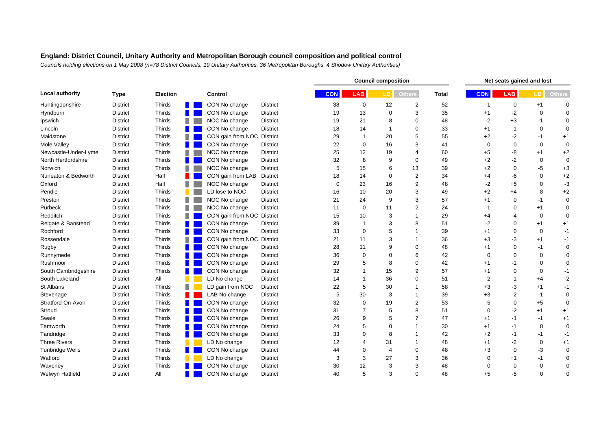|                        |                 |                 |                            |                 | <b>Council composition</b> |                         |                |                |              | Net seats gained and lost |             |             |                  |
|------------------------|-----------------|-----------------|----------------------------|-----------------|----------------------------|-------------------------|----------------|----------------|--------------|---------------------------|-------------|-------------|------------------|
| <b>Local authority</b> | <b>Type</b>     | <b>Election</b> | Control                    |                 | <b>CON</b>                 | <b>LAB</b>              | LD.            | <b>Others</b>  | <b>Total</b> | <b>CON</b>                | <b>LAB</b>  | LD.         | <b>Others</b>    |
| Huntingdonshire        | <b>District</b> | Thirds          | CON No change              | <b>District</b> | 38                         | 0                       | 12             | 2              | 52           | $-1$                      | $\mathbf 0$ | $+1$        | $\Omega$         |
| Hyndburn               | <b>District</b> | Thirds          | CON No change              | District        | 19                         | 13                      | $\Omega$       | 3              | 35           | $+1$                      | $-2$        | $\mathbf 0$ | $\Omega$         |
| Ipswich                | <b>District</b> | Thirds          | NOC No change              | District        | 19                         | 21                      | 8              | $\Omega$       | 48           | $-2$                      | $+3$        | $-1$        | $\mathbf 0$      |
| Lincoln                | <b>District</b> | Thirds          | CON No change              | District        | 18                         | 14                      |                | $\Omega$       | 33           | $+1$                      | -1          | $\mathbf 0$ | $\mathbf 0$      |
| Maidstone              | <b>District</b> | Thirds          | CON gain from NOC District |                 | 29                         | $\mathbf{1}$            | 20             | 5              | 55           | $+2$                      | $-2$        | $-1$        | $+1$             |
| Mole Valley            | <b>District</b> | Thirds          | CON No change              | District        | 22                         | $\mathbf 0$             | 16             | 3              | 41           | $\Omega$                  | $\mathbf 0$ | $\mathbf 0$ | $\mathbf 0$      |
| Newcastle-Under-Lyme   | <b>District</b> | Thirds          | NOC No change              | District        | 25                         | 12                      | 19             | 4              | 60           | $+5$                      | -8          | $+1$        | $+2$             |
| North Hertfordshire    | <b>District</b> | Thirds          | CON No change              | <b>District</b> | 32                         | 8                       | 9              | $\Omega$       | 49           | $+2$                      | $-2$        | 0           | $\mathbf 0$      |
| Norwich                | <b>District</b> | Thirds          | NOC No change              | District        | 5                          | 15                      | 6              | 13             | 39           | $+2$                      | $\mathbf 0$ | -5          | $+3$             |
| Nuneaton & Bedworth    | <b>District</b> | Half            | CON gain from LAB          | District        | 18                         | 14                      | $\Omega$       | 2              | 34           | $+4$                      | -6          | $\mathbf 0$ | $+2$             |
| Oxford                 | <b>District</b> | Half            | NOC No change              | District        | $\mathbf 0$                | 23                      | 16             | 9              | 48           | -2                        | $+5$        | $\mathbf 0$ | -3               |
| Pendle                 | <b>District</b> | Thirds          | LD lose to NOC             | <b>District</b> | 16                         | 10                      | 20             | 3              | 49           | $+2$                      | $+4$        | -8          | $+2$             |
| Preston                | <b>District</b> | Thirds          | NOC No change              | <b>District</b> | 21                         | 24                      | 9              | 3              | 57           | $+1$                      | $\mathbf 0$ | $-1$        | $\mathbf 0$      |
| Purbeck                | <b>District</b> | Thirds          | NOC No change              | District        | 11                         | $\mathbf 0$             | 11             | 2              | 24           | $-1$                      | $\mathbf 0$ | $+1$        | $\mathbf 0$      |
| Redditch               | <b>District</b> | Thirds          | CON gain from NOC District |                 | 15                         | 10                      | 3              | 1              | 29           | $+4$                      | $-4$        | 0           | $\mathbf 0$      |
| Reigate & Banstead     | <b>District</b> | Thirds          | CON No change              | <b>District</b> | 39                         | $\overline{\mathbf{1}}$ | 3              | 8              | 51           | -2                        | $\mathbf 0$ | $+1$        | $+1$             |
| Rochford               | <b>District</b> | Thirds          | CON No change              | District        | 33                         | $\mathbf 0$             |                | 1              | 39           | $+1$                      | $\mathbf 0$ | 0           | $-1$             |
| Rossendale             | <b>District</b> | Thirds          | CON gain from NOC District |                 | 21                         | 11                      | 3              |                | 36           | $+3$                      | -3          | $+1$        | $-1$             |
| Rugby                  | <b>District</b> | Thirds          | CON No change              | District        | 28                         | 11                      | 9              | 0              | 48           | $+1$                      | $\mathbf 0$ | -1          | $\mathbf 0$      |
| Runnymede              | <b>District</b> | Thirds          | CON No change              | District        | 36                         | $\mathbf 0$             |                | 6              | 42           | $\Omega$                  | $\Omega$    | $\mathbf 0$ | $\mathbf 0$      |
| Rushmoor               | <b>District</b> | Thirds          | CON No change              | District        | 29                         | 5                       | 8              | $\Omega$       | 42           | $+1$                      | -1          | $\mathbf 0$ | $\boldsymbol{0}$ |
| South Cambridgeshire   | District        | Thirds          | CON No change              | District        | 32                         |                         | 15             | 9              | 57           | $+1$                      | $\mathbf 0$ | $\mathbf 0$ | $-1$             |
| South Lakeland         | <b>District</b> | All             | LD No change               | District        | 14                         | $\mathbf{1}$            | 36             | $\Omega$       | 51           | $-2$                      | -1          | $+4$        | $-2$             |
| St Albans              | <b>District</b> | Thirds          | LD gain from NOC           | District        | 22                         | 5                       | 30             | 1              | 58           | $+3$                      | -3          | $+1$        | $-1$             |
| Stevenage              | <b>District</b> | Thirds          | LAB No change              | District        | 5                          | 30                      | 3              | $\overline{ }$ | 39           | $+3$                      | $-2$        | $-1$        | $\mathbf 0$      |
| Stratford-On-Avon      | <b>District</b> | Thirds          | CON No change              | District        | 32                         | $\mathbf 0$             | 19             | $\overline{2}$ | 53           | -5                        | 0           | $+5$        | $\mathbf 0$      |
| Stroud                 | <b>District</b> | Thirds          | CON No change              | District        | 31                         | 7                       | 5              | 8              | 51           | $\Omega$                  | $-2$        | $+1$        | $+1$             |
| Swale                  | <b>District</b> | Thirds          | CON No change              | District        | 26                         | 9                       | 5              | $\overline{7}$ | 47           | $+1$                      | $-1$        | $-1$        | $+1$             |
| Tamworth               | <b>District</b> | Thirds          | CON No change              | District        | 24                         | 5                       | <sup>0</sup>   |                | 30           | $+1$                      | -1          | $\mathbf 0$ | $\mathbf 0$      |
| Tandridge              | <b>District</b> | Thirds          | CON No change              | District        | 33                         | $\mathbf 0$             | 8              |                | 42           | $+2$                      | $-1$        | $-1$        | $-1$             |
| <b>Three Rivers</b>    | <b>District</b> | Thirds          | LD No change               | District        | 12                         | $\overline{4}$          | 31             |                | 48           | $+1$                      | $-2$        | $\mathbf 0$ | $+1$             |
| <b>Tunbridge Wells</b> | <b>District</b> | Thirds          | CON No change              | District        | 44                         | $\mathbf 0$             | $\overline{4}$ | $\mathbf 0$    | 48           | $+3$                      | $\Omega$    | -3          | $\mathbf 0$      |
| Watford                | <b>District</b> | Thirds          | LD No change               | District        | 3                          | 3                       | 27             | 3              | 36           | $\Omega$                  | $+1$        | -1          | $\mathbf 0$      |
| Waveney                | <b>District</b> | Thirds          | CON No change              | District        | 30                         | 12                      | 3              | 3              | 48           | $\Omega$                  | $\Omega$    | $\mathbf 0$ | $\mathbf 0$      |
| Welwyn Hatfield        | <b>District</b> | All             | CON No change              | District        | 40                         | 5                       | 3              | $\Omega$       | 48           | $+5$                      | $-5$        | $\Omega$    | $\mathbf 0$      |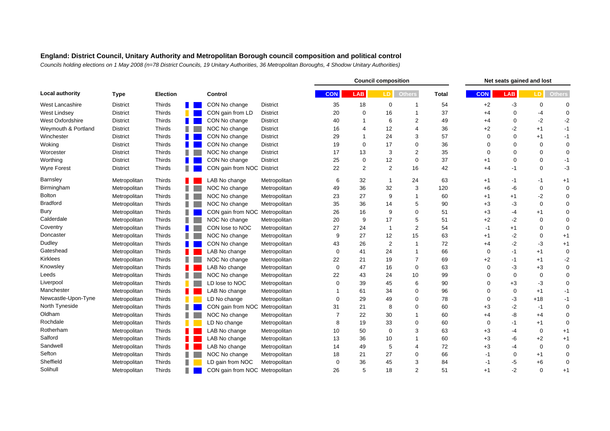|                         |                 |                 |                                |                 |            | <b>Council composition</b> |                |                |              |             | Net seats gained and lost |                  |               |  |
|-------------------------|-----------------|-----------------|--------------------------------|-----------------|------------|----------------------------|----------------|----------------|--------------|-------------|---------------------------|------------------|---------------|--|
| <b>Local authority</b>  | <b>Type</b>     | <b>Election</b> | Control                        |                 | <b>CON</b> | <b>LAB</b>                 | LD <sup></sup> | <b>Others</b>  | <b>Total</b> | <b>CON</b>  | <b>LAB</b>                | LD <sup>I</sup>  | <b>Others</b> |  |
| <b>West Lancashire</b>  | <b>District</b> | Thirds          | CON No change                  | <b>District</b> | 35         | 18                         | $\mathbf 0$    |                | 54           | $+2$        | -3                        | 0                | $\Omega$      |  |
| <b>West Lindsey</b>     | <b>District</b> | Thirds          | CON gain from LD               | District        | 20         | $\mathbf 0$                | 16             |                | 37           | $+4$        | $\mathbf 0$               | -4               | $\mathbf 0$   |  |
| <b>West Oxfordshire</b> | <b>District</b> | Thirds          | CON No change                  | District        | 40         |                            | 6              | $\overline{2}$ | 49           | $+4$        | $\mathbf 0$               | $-2$             | $-2$          |  |
| Weymouth & Portland     | <b>District</b> | Thirds          | NOC No change                  | District        | 16         | $\overline{4}$             | 12             | 4              | 36           | $+2$        | $-2$                      | $+1$             | $-1$          |  |
| Winchester              | <b>District</b> | Thirds          | CON No change                  | District        | 29         | $\mathbf 1$                | 24             | 3              | 57           | $\Omega$    | $\mathbf 0$               | $+1$             | $-1$          |  |
| Woking                  | <b>District</b> | Thirds          | CON No change                  | <b>District</b> | 19         | $\mathbf 0$                | 17             | 0              | 36           | $\Omega$    | $\mathbf 0$               | 0                | $\mathbf 0$   |  |
| Worcester               | <b>District</b> | Thirds          | NOC No change                  | District        | 17         | 13                         | 3              | $\overline{2}$ | 35           | $\Omega$    | $\mathbf 0$               | $\mathbf 0$      | $\mathbf 0$   |  |
| Worthing                | <b>District</b> | Thirds          | CON No change                  | District        | 25         | $\pmb{0}$                  | 12             | $\mathbf 0$    | 37           | $+1$        | $\mathbf 0$               | 0                | $-1$          |  |
| <b>Wyre Forest</b>      | <b>District</b> | Thirds          | CON gain from NOC District     |                 | 22         | $\overline{2}$             | 2              | 16             | 42           | $+4$        | $-1$                      | $\mathbf 0$      | -3            |  |
| Barnsley                | Metropolitan    | Thirds          | LAB No change                  | Metropolitan    | 6          | 32                         | -1             | 24             | 63           | $+1$        | -1                        | -1               | $+1$          |  |
| Birmingham              | Metropolitan    | Thirds          | NOC No change                  | Metropolitan    | 49         | 36                         | 32             | 3              | 120          | $+6$        | -6                        | $\mathbf 0$      | $\mathbf 0$   |  |
| <b>Bolton</b>           | Metropolitan    | Thirds          | NOC No change                  | Metropolitan    | 23         | 27                         | 9              | 1              | 60           | $+1$        | $+1$                      | -2               | $\mathbf 0$   |  |
| <b>Bradford</b>         | Metropolitan    | Thirds          | NOC No change                  | Metropolitan    | 35         | 36                         | 14             | 5              | 90           | $+3$        | -3                        | $\mathbf 0$      | $\mathbf 0$   |  |
| Bury                    | Metropolitan    | Thirds          | CON gain from NOC Metropolitan |                 | 26         | 16                         | 9              | $\Omega$       | 51           | $+3$        | $-4$                      | $+1$             | $\mathbf 0$   |  |
| Calderdale              | Metropolitan    | Thirds          | NOC No change                  | Metropolitan    | 20         | 9                          | 17             | 5              | 51           | $+2$        | $-2$                      | 0                | $\mathbf 0$   |  |
| Coventry                | Metropolitan    | Thirds          | CON lose to NOC                | Metropolitan    | 27         | 24                         | -1             | $\overline{2}$ | 54           | -1          | $+1$                      | 0                | $\Omega$      |  |
| Doncaster               | Metropolitan    | Thirds          | NOC No change                  | Metropolitan    | 9          | 27                         | 12             | 15             | 63           | $+1$        | $-2$                      | $\mathbf 0$      | $+1$          |  |
| Dudley                  | Metropolitan    | Thirds          | CON No change                  | Metropolitan    | 43         | 26                         | $\overline{c}$ | 1              | 72           | $+4$        | $-2$                      | -3               | $+1$          |  |
| Gateshead               | Metropolitan    | Thirds          | LAB No change                  | Metropolitan    | 0          | 41                         | 24             | 1              | 66           | $\Omega$    | -1                        | $+1$             | $\mathbf 0$   |  |
| Kirklees                | Metropolitan    | Thirds          | NOC No change                  | Metropolitan    | 22         | 21                         | 19             | 7              | 69           | $+2$        | -1                        | $+1$             | $-2$          |  |
| Knowsley                | Metropolitan    | Thirds          | LAB No change                  | Metropolitan    | 0          | 47                         | 16             | $\mathbf 0$    | 63           | $\Omega$    | -3                        | $+3$             | $\mathbf 0$   |  |
| Leeds                   | Metropolitan    | Thirds          | NOC No change                  | Metropolitan    | 22         | 43                         | 24             | 10             | 99           | $\Omega$    | $\mathbf 0$               | $\mathbf 0$      | $\mathbf 0$   |  |
| Liverpool               | Metropolitan    | Thirds          | LD lose to NOC                 | Metropolitan    | $\Omega$   | 39                         | 45             | 6              | 90           | $\Omega$    | $+3$                      | -3               | $\mathbf 0$   |  |
| Manchester              | Metropolitan    | Thirds          | LAB No change                  | Metropolitan    |            | 61                         | 34             | 0              | 96           | $\Omega$    | $\mathbf 0$               | $+1$             | $-1$          |  |
| Newcastle-Upon-Tyne     | Metropolitan    | Thirds          | LD No change                   | Metropolitan    | 0          | 29                         | 49             | $\Omega$       | 78           | $\Omega$    | -3                        | $+18$            | $-1$          |  |
| North Tyneside          | Metropolitan    | Thirds          | CON gain from NOC Metropolitan |                 | 31         | 21                         | 8              | $\Omega$       | 60           | $+3$        | $-2$                      | $-1$             | $\mathbf 0$   |  |
| Oldham                  | Metropolitan    | Thirds          | NOC No change                  | Metropolitan    |            | 22                         | 30             |                | 60           | $+4$        | -8                        | $+4$             | $\mathbf 0$   |  |
| Rochdale                | Metropolitan    | Thirds          | LD No change                   | Metropolitan    | 8          | 19                         | 33             | 0              | 60           | $\mathbf 0$ | -1                        | $+1$             | $\mathbf 0$   |  |
| Rotherham               | Metropolitan    | Thirds          | LAB No change                  | Metropolitan    | 10         | 50                         | $\Omega$       | 3              | 63           | $+3$        | $-4$                      | $\boldsymbol{0}$ | $+1$          |  |
| Salford                 | Metropolitan    | Thirds          | LAB No change                  | Metropolitan    | 13         | 36                         | 10             |                | 60           | $+3$        | -6                        | $+2$             | $+1$          |  |
| Sandwell                | Metropolitan    | Thirds          | LAB No change                  | Metropolitan    | 14         | 49                         | 5              | 4              | 72           | $+3$        | $-4$                      | 0                | $\mathbf 0$   |  |
| Sefton                  | Metropolitan    | Thirds          | NOC No change                  | Metropolitan    | 18         | 21                         | 27             | $\Omega$       | 66           | $-1$        | $\mathbf 0$               | $+1$             | $\mathbf 0$   |  |
| Sheffield               | Metropolitan    | Thirds          | LD gain from NOC               | Metropolitan    | $\Omega$   | 36                         | 45             | 3              | 84           | $-1$        | -5                        | $+6$             | $\mathbf 0$   |  |
| Solihull                | Metropolitan    | Thirds          | CON gain from NOC Metropolitan |                 | 26         | 5                          | 18             | $\overline{2}$ | 51           | $+1$        | $-2$                      | $\mathbf 0$      | $+1$          |  |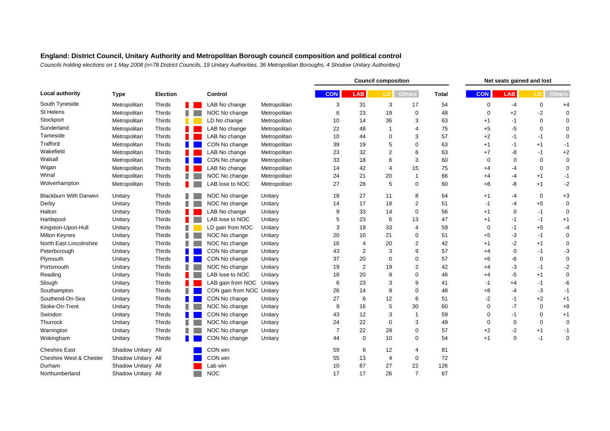|                              | <b>Type</b>        |                 |                           |              | <b>Council composition</b> |                |                 |                |              | Net seats gained and lost |             |                  |               |  |
|------------------------------|--------------------|-----------------|---------------------------|--------------|----------------------------|----------------|-----------------|----------------|--------------|---------------------------|-------------|------------------|---------------|--|
| <b>Local authority</b>       |                    | <b>Election</b> | Control                   |              | <b>CON</b>                 | <b>LAB</b>     | LD <sup>1</sup> | <b>Others</b>  | <b>Total</b> | <b>CON</b>                | <b>LAB</b>  | LD.              | <b>Others</b> |  |
| South Tyneside               | Metropolitan       | Thirds          | LAB No change             | Metropolitan | 3                          | 31             | 3               | 17             | 54           | $\mathbf 0$               | $-4$        | $\boldsymbol{0}$ | $+4$          |  |
| St Helens                    | Metropolitan       | Thirds          | NOC No change             | Metropolitan | 6                          | 23             | 19              | 0              | 48           | $\mathbf 0$               | $+2$        | $-2$             | $\mathbf 0$   |  |
| Stockport                    | Metropolitan       | Thirds          | LD No change              | Metropolitan | 10                         | 14             | 36              | 3              | 63           | $+1$                      | -1          | $\mathbf 0$      | $\mathbf 0$   |  |
| Sunderland                   | Metropolitan       | Thirds          | LAB No change             | Metropolitan | 22                         | 48             |                 | 4              | 75           | $+5$                      | -5          | $\mathbf 0$      | $\mathbf 0$   |  |
| Tameside                     | Metropolitan       | Thirds          | LAB No change             | Metropolitan | 10                         | 44             | $\Omega$        | 3              | 57           | $+2$                      | -1          | -1               | $\mathbf 0$   |  |
| Trafford                     | Metropolitan       | Thirds          | CON No change             | Metropolitan | 39                         | 19             | 5               | $\mathbf 0$    | 63           | $+1$                      | -1          | $+1$             | $-1$          |  |
| Wakefield                    | Metropolitan       | Thirds          | LAB No change             | Metropolitan | 23                         | 32             | $\overline{2}$  | 6              | 63           | $+7$                      | -8          | $-1$             | $+2$          |  |
| Walsall                      | Metropolitan       | Thirds          | CON No change             | Metropolitan | 33                         | 18             | 6               | 3              | 60           | $\Omega$                  | $\Omega$    | $\mathbf 0$      | $\mathbf 0$   |  |
| Wigan                        | Metropolitan       | Thirds          | LAB No change             | Metropolitan | 14                         | 42             | 4               | 15             | 75           | $+4$                      | $-4$        | $\mathbf 0$      | $\mathbf 0$   |  |
| Wirral                       | Metropolitan       | Thirds          | NOC No change             | Metropolitan | 24                         | 21             | 20              | $\overline{1}$ | 66           | $+4$                      | $-4$        | $+1$             | $-1$          |  |
| Wolverhampton                | Metropolitan       | Thirds          | LAB lose to NOC           | Metropolitan | 27                         | 28             | 5               | 0              | 60           | $+8$                      | -8          | $+1$             | $-2$          |  |
| <b>Blackburn With Darwen</b> | Unitary            | Thirds          | NOC No change             | Unitary      | 18                         | 27             | 11              | 8              | 64           | $+1$                      | -4          | 0                | $+3$          |  |
| Derby                        | Unitary            | Thirds          | NOC No change             | Unitary      | 14                         | 17             | 18              | 2              | 51           | $-1$                      | -4          | $+5$             | $\mathbf 0$   |  |
| Halton                       | Unitary            | Thirds          | LAB No change             | Unitary      | 9                          | 33             | 14              | $\mathbf 0$    | 56           | $+1$                      | 0           | $-1$             | $\mathbf 0$   |  |
| Hartlepool                   | Unitary            | Thirds          | LAB lose to NOC           | Unitary      | 5                          | 23             | 6               | 13             | 47           | $+1$                      | -1          | $-1$             | $+1$          |  |
| Kingston-Upon-Hull           | Unitary            | Thirds          | LD gain from NOC          | Unitary      | 3                          | 19             | 33              | 4              | 59           | $\Omega$                  | -1          | $+5$             | $-4$          |  |
| <b>Milton Keynes</b>         | Unitary            | Thirds          | NOC No change             | Unitary      | 20                         | 10             | 21              | 0              | 51           | $+5$                      | -3          | $-1$             | $\pmb{0}$     |  |
| North East Lincolnshire      | Unitary            | Thirds          | NOC No change             | Unitary      | 16                         | $\overline{4}$ | 20              | 2              | 42           | $+1$                      | -2          | $+1$             | 0             |  |
| Peterborough                 | Unitary            | Thirds          | CON No change             | Unitary      | 43                         | $\overline{2}$ | 3               | 9              | 57           | $+4$                      | 0           | $-1$             | $-3$          |  |
| Plymouth                     | Unitary            | Thirds          | CON No change             | Unitary      | 37                         | 20             | $\Omega$        | 0              | 57           | +6                        | -6          | 0                | $\pmb{0}$     |  |
| Portsmouth                   | Unitary            | Thirds          | NOC No change             | Unitary      | 19                         | $\overline{2}$ | 19              | 2              | 42           | $+4$                      | -3          | -1               | $-2$          |  |
| Reading                      | Unitary            | Thirds          | LAB lose to NOC           | Unitary      | 18                         | 20             | 8               | 0              | 46           | $+4$                      | -5          | $+1$             | $\pmb{0}$     |  |
| Slough                       | Unitary            | Thirds          | LAB gain from NOC         | Unitary      | 6                          | 23             | 3               | 9              | 41           | -1                        | $+4$        | -1               | -6            |  |
| Southampton                  | Unitary            | Thirds          | CON gain from NOC Unitary |              | 26                         | 14             | 8               | $\mathbf 0$    | 48           | $+8$                      | -4          | -3               | $-1$          |  |
| Southend-On-Sea              | Unitary            | Thirds          | CON No change             | Unitary      | 27                         | 6              | 12              | 6              | 51           | $-2$                      | -1          | $+2$             | $+1$          |  |
| Stoke-On-Trent               | Unitary            | Thirds          | NOC No change             | Unitary      | 9                          | 16             | 5               | 30             | 60           | $\Omega$                  | -7          | 0                | $+8$          |  |
| Swindon                      | Unitary            | Thirds          | CON No change             | Unitary      | 43                         | 12             | 3               | -1             | 59           | $\Omega$                  | $-1$        | $\mathbf 0$      | $+1$          |  |
| Thurrock                     | Unitary            | Thirds          | NOC No change             | Unitary      | 24                         | 22             | $\Omega$        | 3              | 49           | $\Omega$                  | 0           | $\mathbf 0$      | $\mathbf 0$   |  |
| Warrington                   | Unitary            | Thirds          | NOC No change             | Unitary      | 7                          | 22             | 28              | 0              | 57           | $+2$                      | $-2$        | $+1$             | $-1$          |  |
| Wokingham                    | Unitary            | Thirds          | CON No change             | Unitary      | 44                         | $\mathbf 0$    | 10              | $\Omega$       | 54           | $+1$                      | $\mathbf 0$ | $-1$             | $\mathbf 0$   |  |
| <b>Cheshire East</b>         | Shadow Unitary All |                 | CON win                   |              | 59                         | 6              | 12              | 4              | 81           |                           |             |                  |               |  |
| Cheshire West & Chester      | Shadow Unitary All |                 | CON win                   |              | 55                         | 13             | 4               | 0              | 72           |                           |             |                  |               |  |
| Durham                       | Shadow Unitary All |                 | Lab win                   |              | 10                         | 67             | 27              | 22             | 126          |                           |             |                  |               |  |
| Northumberland               | Shadow Unitary All |                 | <b>NOC</b>                |              | 17                         | 17             | 26              | $\overline{7}$ | 67           |                           |             |                  |               |  |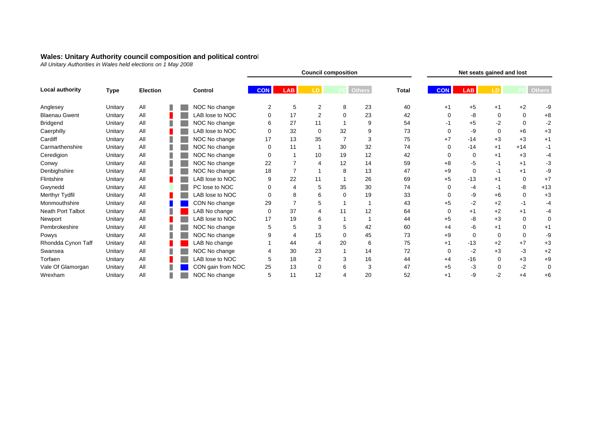#### **Wales: Unitary Authority council composition and political control**

*All Unitary Authorities in Wales held elections on 1 May 2008*

| Local authority      | Type    |                 |         |                   |            | Net seats gained and lost |                |                |               |              |            |            |          |             |               |
|----------------------|---------|-----------------|---------|-------------------|------------|---------------------------|----------------|----------------|---------------|--------------|------------|------------|----------|-------------|---------------|
|                      |         | <b>Election</b> | Control |                   | <b>CON</b> | <b>LAB</b>                | LD             |                | <b>Others</b> | <b>Total</b> | <b>CON</b> | <b>LAB</b> |          |             | <b>Others</b> |
| Anglesey             | Unitary | All             |         | NOC No change     |            | 5                         | 2              | 8              | 23            | 40           | $+1$       | $+5$       | $+1$     | $+2$        | -9            |
| <b>Blaenau Gwent</b> | Unitary | All             |         | LAB lose to NOC   | $\Omega$   | 17                        | $\overline{2}$ | $\mathbf 0$    | 23            | 42           | $\Omega$   | -8         | $\Omega$ | $\mathbf 0$ | $+8$          |
| Bridgend             | Unitary | All             |         | NOC No change     | 6          | 27                        | 11             |                | 9             | 54           | -1         | $+5$       | -2       | $\Omega$    | $-2$          |
| Caerphilly           | Unitary | All             |         | LAB lose to NOC   | $\Omega$   | 32                        | $\mathbf 0$    | 32             | 9             | 73           | $\Omega$   | -9         | $\Omega$ | $+6$        | $+3$          |
| Cardiff              | Unitary | All             |         | NOC No change     | 17         | 13                        | 35             | $\overline{7}$ | 3             | 75           | $+7$       | $-14$      | $+3$     | $+3$        | $+1$          |
| Carmarthenshire      | Unitary | All             |         | NOC No change     | $\Omega$   | 11                        |                | 30             | 32            | 74           | $\Omega$   | $-14$      | $+1$     | $+14$       | $-1$          |
| Ceredigion           | Unitary | All             |         | NOC No change     | 0          |                           | 10             | 19             | 12            | 42           | $\Omega$   | 0          | $+1$     | $+3$        | -4            |
| Conwy                | Unitary | All             |         | NOC No change     | 22         |                           | 4              | 12             | 14            | 59           | $+8$       | -5         | -1       | $+1$        | -3            |
| Denbighshire         | Unitary | All             |         | NOC No change     | 18         |                           |                | 8              | 13            | 47           | $+9$       | $\Omega$   | -1       | $+1$        | -9            |
| Flintshire           | Unitary | All             |         | LAB lose to NOC   | 9          | 22                        | 11             |                | 26            | 69           | $+5$       | $-13$      | $+1$     | 0           | $+7$          |
| Gwynedd              | Unitary | All             |         | PC lose to NOC    | 0          | 4                         | 5              | 35             | 30            | 74           | $\Omega$   | -4         | -1       | -8          | $+13$         |
| Merthyr Tydfil       | Unitary | All             |         | LAB lose to NOC   | 0          | 8                         | 6              | 0              | 19            | 33           | $\Omega$   | -9         | $+6$     | 0           | $+3$          |
| Monmouthshire        | Unitary | All             |         | CON No change     | 29         |                           | 5              |                |               | 43           | $+5$       | $-2$       | $+2$     | $-1$        | -4            |
| Neath Port Talbot    | Unitary | All             |         | LAB No change     | $\Omega$   | 37                        | 4              | 11             | 12            | 64           | $\Omega$   | $+1$       | $+2$     | $+1$        | -4            |
| Newport              | Unitary | All             |         | LAB lose to NOC   | 17         | 19                        | 6              |                |               | 44           | $+5$       | -8         | $+3$     | 0           | 0             |
| Pembrokeshire        | Unitary | All             |         | NOC No change     | 5          | 5                         | 3              | 5              | 42            | 60           | $+4$       | -6         | $+1$     | $\Omega$    | $+1$          |
| Powys                | Unitary | All             |         | NOC No change     |            | $\overline{4}$            | 15             | $\Omega$       | 45            | 73           | $+9$       | $\Omega$   | $\Omega$ | $\mathbf 0$ | -9            |
| Rhondda Cynon Taff   | Unitary | All             |         | LAB No change     |            | 44                        | 4              | 20             | 6             | 75           | $+1$       | $-13$      | $+2$     | $+7$        | $+3$          |
| Swansea              | Unitary | All             |         | NOC No change     |            | 30                        | 23             |                | 14            | 72           | 0          | $-2$       | $+3$     | -3          | $+2$          |
| Torfaen              | Unitary | All             |         | LAB lose to NOC   | 5          | 18                        | $\overline{2}$ | 3              | 16            | 44           | $+4$       | $-16$      | 0        | $+3$        | $+9$          |
| Vale Of Glamorgan    | Unitary | All             |         | CON gain from NOC | 25         | 13                        | 0              | 6              | 3             | 47           | $+5$       | -3         | 0        | $-2$        | 0             |
| Wrexham              | Unitary | All             |         | NOC No change     | 5          | 11                        | 12             |                | 20            | 52           | $+1$       | -9         | $-2$     | $+4$        | $+6$          |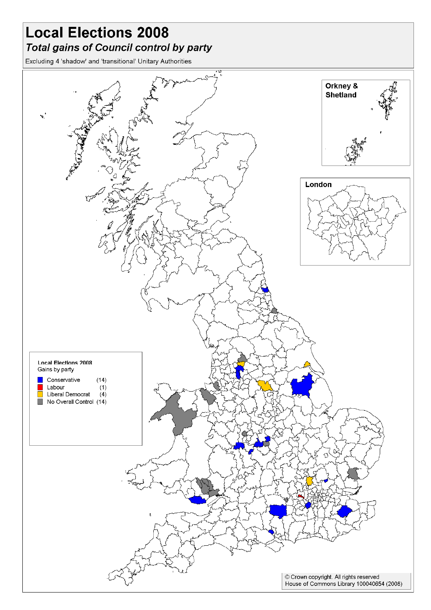# **Local Elections 2008** Total gains of Council control by party